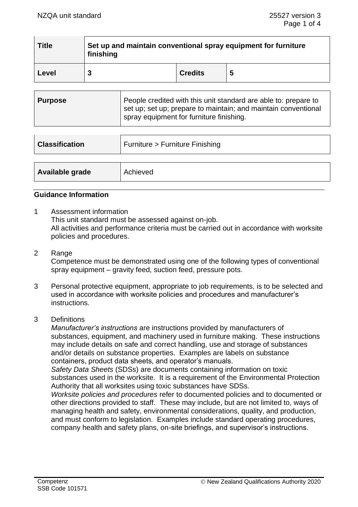| <b>Title</b> | Set up and maintain conventional spray equipment for furniture<br>finishing |                |   |  |
|--------------|-----------------------------------------------------------------------------|----------------|---|--|
| Level        | 3                                                                           | <b>Credits</b> | 5 |  |

| ∣ Purpose | People credited with this unit standard are able to: prepare to<br>set up; set up; prepare to maintain; and maintain conventional<br>I spray equipment for furniture finishing. |
|-----------|---------------------------------------------------------------------------------------------------------------------------------------------------------------------------------|
|           |                                                                                                                                                                                 |

| <b>Classification</b> | Furniture > Furniture Finishing |  |  |
|-----------------------|---------------------------------|--|--|
|                       |                                 |  |  |
| Available grade       | Achieved                        |  |  |

## **Guidance Information**

- 1 Assessment information This unit standard must be assessed against on-job. All activities and performance criteria must be carried out in accordance with worksite policies and procedures.
- 2 Range

Competence must be demonstrated using one of the following types of conventional spray equipment – gravity feed, suction feed, pressure pots.

- 3 Personal protective equipment, appropriate to job requirements, is to be selected and used in accordance with worksite policies and procedures and manufacturer's instructions.
- 3 Definitions

*Manufacturer's instructions* are instructions provided by manufacturers of substances, equipment, and machinery used in furniture making. These instructions may include details on safe and correct handling, use and storage of substances and/or details on substance properties. Examples are labels on substance containers, product data sheets, and operator's manuals.

*Safety Data Sheets* (SDSs) are documents containing information on toxic substances used in the worksite. It is a requirement of the Environmental Protection Authority that all worksites using toxic substances have SDSs.

*Worksite policies and procedures* refer to documented policies and to documented or other directions provided to staff. These may include, but are not limited to, ways of managing health and safety, environmental considerations, quality, and production, and must conform to legislation. Examples include standard operating procedures, company health and safety plans, on-site briefings, and supervisor's instructions.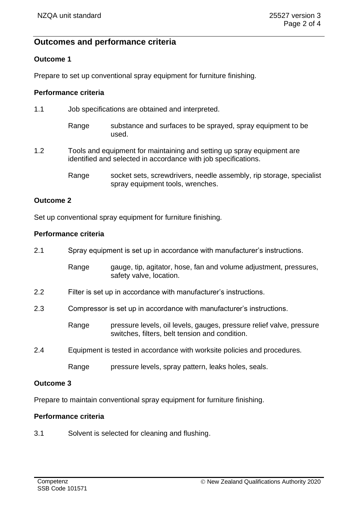# **Outcomes and performance criteria**

## **Outcome 1**

Prepare to set up conventional spray equipment for furniture finishing.

## **Performance criteria**

| 1.1 |       | Job specifications are obtained and interpreted.                                                                                         |  |  |  |
|-----|-------|------------------------------------------------------------------------------------------------------------------------------------------|--|--|--|
|     | Range | substance and surfaces to be sprayed, spray equipment to be<br>used.                                                                     |  |  |  |
| 1.2 |       | Tools and equipment for maintaining and setting up spray equipment are<br>identified and selected in accordance with job specifications. |  |  |  |
|     | Range | socket sets, screwdrivers, needle assembly, rip storage, specialist<br>spray equipment tools, wrenches.                                  |  |  |  |

# **Outcome 2**

Set up conventional spray equipment for furniture finishing.

## **Performance criteria**

| 2.1 | Spray equipment is set up in accordance with manufacturer's instructions. |                                                                                                                        |  |  |
|-----|---------------------------------------------------------------------------|------------------------------------------------------------------------------------------------------------------------|--|--|
|     | Range                                                                     | gauge, tip, agitator, hose, fan and volume adjustment, pressures,<br>safety valve, location.                           |  |  |
| 2.2 | Filter is set up in accordance with manufacturer's instructions.          |                                                                                                                        |  |  |
| 2.3 | Compressor is set up in accordance with manufacturer's instructions.      |                                                                                                                        |  |  |
|     | Range                                                                     | pressure levels, oil levels, gauges, pressure relief valve, pressure<br>switches, filters, belt tension and condition. |  |  |
| 2.4 |                                                                           | Equipment is tested in accordance with worksite policies and procedures.                                               |  |  |
|     | Range                                                                     | pressure levels, spray pattern, leaks holes, seals.                                                                    |  |  |

## **Outcome 3**

Prepare to maintain conventional spray equipment for furniture finishing.

# **Performance criteria**

3.1 Solvent is selected for cleaning and flushing.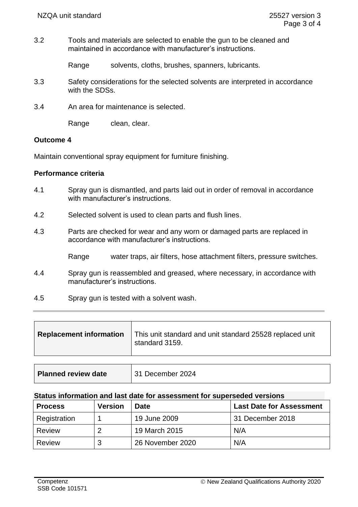3.2 Tools and materials are selected to enable the gun to be cleaned and maintained in accordance with manufacturer's instructions.

Range solvents, cloths, brushes, spanners, lubricants.

- 3.3 Safety considerations for the selected solvents are interpreted in accordance with the SDSs.
- 3.4 An area for maintenance is selected.

Range clean, clear.

#### **Outcome 4**

Maintain conventional spray equipment for furniture finishing.

#### **Performance criteria**

- 4.1 Spray gun is dismantled, and parts laid out in order of removal in accordance with manufacturer's instructions.
- 4.2 Selected solvent is used to clean parts and flush lines.
- 4.3 Parts are checked for wear and any worn or damaged parts are replaced in accordance with manufacturer's instructions.
	- Range water traps, air filters, hose attachment filters, pressure switches.
- 4.4 Spray gun is reassembled and greased, where necessary, in accordance with manufacturer's instructions.
- 4.5 Spray gun is tested with a solvent wash.

| <b>Replacement information</b> | This unit standard and unit standard 25528 replaced unit<br>standard 3159. |
|--------------------------------|----------------------------------------------------------------------------|
|                                |                                                                            |

| Planned review date<br>31 December 2024 |  |
|-----------------------------------------|--|
|-----------------------------------------|--|

#### **Status information and last date for assessment for superseded versions**

| <b>Process</b> | <b>Version</b> | <b>Date</b>      | <b>Last Date for Assessment</b> |
|----------------|----------------|------------------|---------------------------------|
| Registration   |                | 19 June 2009     | 31 December 2018                |
| Review         |                | 19 March 2015    | N/A                             |
| Review         | ີ<br>w         | 26 November 2020 | N/A                             |